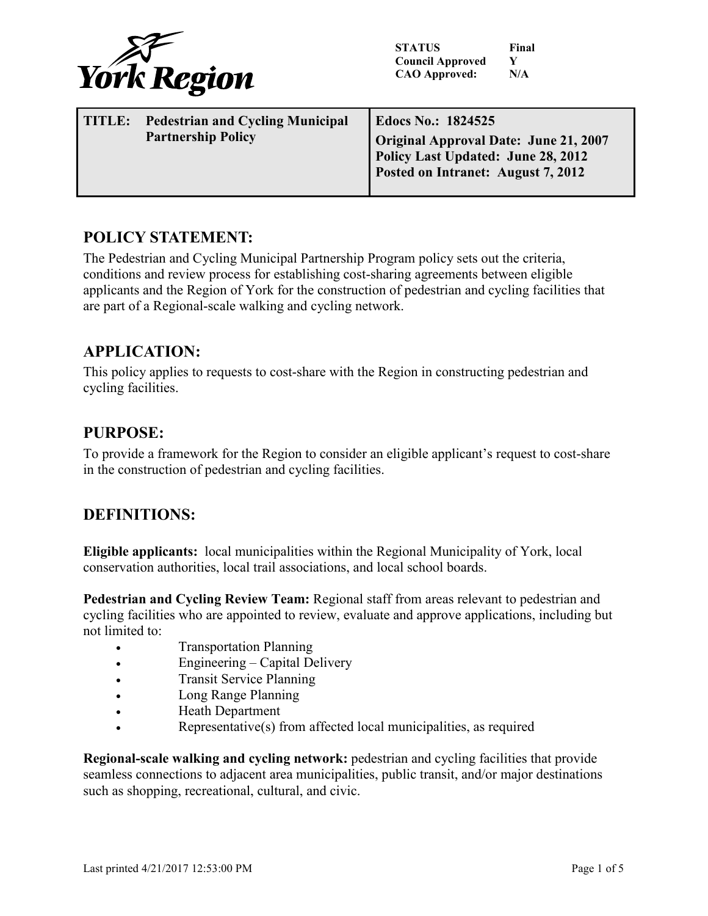

**STATUS Final Council Approved Y CAO Approved: N/A**

| <b>Edocs No.: 1824525</b><br>Original Approval Date: June 21, 2007<br>Policy Last Updated: June 28, 2012<br>Posted on Intranet: August 7, 2012 |
|------------------------------------------------------------------------------------------------------------------------------------------------|
|                                                                                                                                                |

# **POLICY STATEMENT:**

The Pedestrian and Cycling Municipal Partnership Program policy sets out the criteria, conditions and review process for establishing cost-sharing agreements between eligible applicants and the Region of York for the construction of pedestrian and cycling facilities that are part of a Regional-scale walking and cycling network.

## **APPLICATION:**

This policy applies to requests to cost-share with the Region in constructing pedestrian and cycling facilities.

## **PURPOSE:**

To provide a framework for the Region to consider an eligible applicant's request to cost-share in the construction of pedestrian and cycling facilities.

# **DEFINITIONS:**

**Eligible applicants:** local municipalities within the Regional Municipality of York, local conservation authorities, local trail associations, and local school boards.

**Pedestrian and Cycling Review Team:** Regional staff from areas relevant to pedestrian and cycling facilities who are appointed to review, evaluate and approve applications, including but not limited to:

- Transportation Planning
- Engineering Capital Delivery
- Transit Service Planning
- Long Range Planning
- Heath Department
- Representative(s) from affected local municipalities, as required

**Regional-scale walking and cycling network:** pedestrian and cycling facilities that provide seamless connections to adjacent area municipalities, public transit, and/or major destinations such as shopping, recreational, cultural, and civic.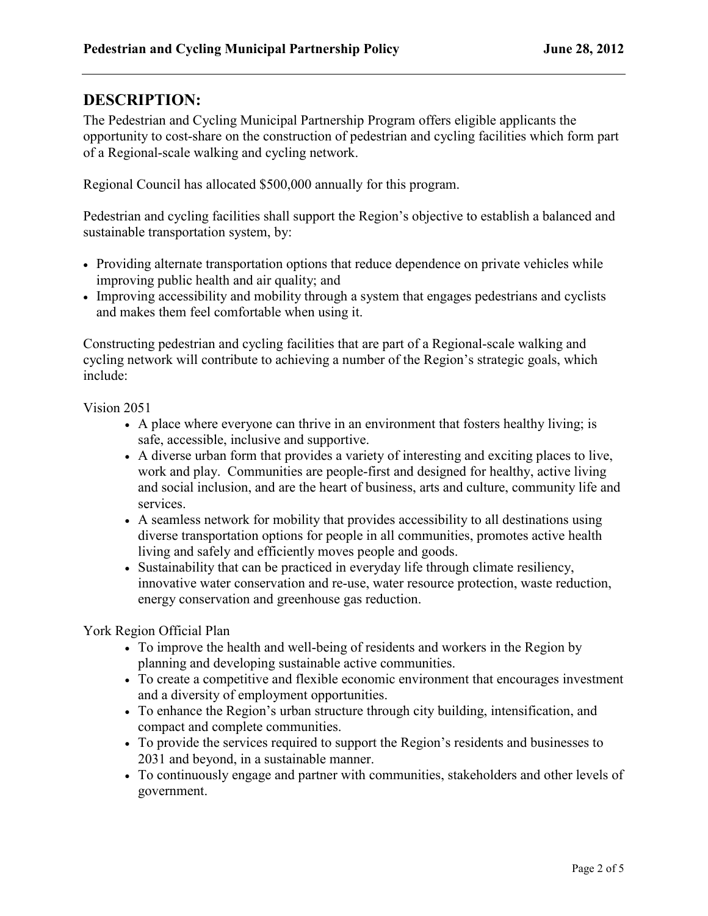# **DESCRIPTION:**

The Pedestrian and Cycling Municipal Partnership Program offers eligible applicants the opportunity to cost-share on the construction of pedestrian and cycling facilities which form part of a Regional-scale walking and cycling network.

Regional Council has allocated \$500,000 annually for this program.

Pedestrian and cycling facilities shall support the Region's objective to establish a balanced and sustainable transportation system, by:

- Providing alternate transportation options that reduce dependence on private vehicles while improving public health and air quality; and
- Improving accessibility and mobility through a system that engages pedestrians and cyclists and makes them feel comfortable when using it.

Constructing pedestrian and cycling facilities that are part of a Regional-scale walking and cycling network will contribute to achieving a number of the Region's strategic goals, which include:

Vision 2051

- A place where everyone can thrive in an environment that fosters healthy living; is safe, accessible, inclusive and supportive.
- A diverse urban form that provides a variety of interesting and exciting places to live, work and play. Communities are people-first and designed for healthy, active living and social inclusion, and are the heart of business, arts and culture, community life and services.
- A seamless network for mobility that provides accessibility to all destinations using diverse transportation options for people in all communities, promotes active health living and safely and efficiently moves people and goods.
- Sustainability that can be practiced in everyday life through climate resiliency, innovative water conservation and re-use, water resource protection, waste reduction, energy conservation and greenhouse gas reduction.

York Region Official Plan

- To improve the health and well-being of residents and workers in the Region by planning and developing sustainable active communities.
- To create a competitive and flexible economic environment that encourages investment and a diversity of employment opportunities.
- To enhance the Region's urban structure through city building, intensification, and compact and complete communities.
- To provide the services required to support the Region's residents and businesses to 2031 and beyond, in a sustainable manner.
- To continuously engage and partner with communities, stakeholders and other levels of government.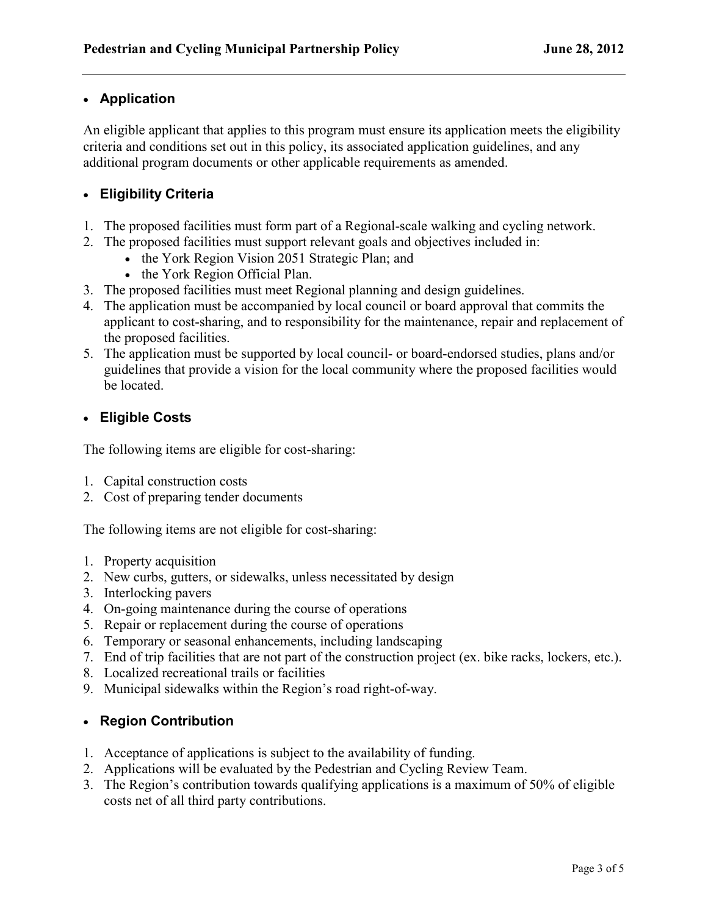#### • **Application**

An eligible applicant that applies to this program must ensure its application meets the eligibility criteria and conditions set out in this policy, its associated application guidelines, and any additional program documents or other applicable requirements as amended.

## • **Eligibility Criteria**

- 1. The proposed facilities must form part of a Regional-scale walking and cycling network.
- 2. The proposed facilities must support relevant goals and objectives included in:
	- the York Region Vision 2051 Strategic Plan; and
	- the York Region Official Plan.
- 3. The proposed facilities must meet Regional planning and design guidelines.
- 4. The application must be accompanied by local council or board approval that commits the applicant to cost-sharing, and to responsibility for the maintenance, repair and replacement of the proposed facilities.
- 5. The application must be supported by local council- or board-endorsed studies, plans and/or guidelines that provide a vision for the local community where the proposed facilities would be located.

#### • **Eligible Costs**

The following items are eligible for cost-sharing:

- 1. Capital construction costs
- 2. Cost of preparing tender documents

The following items are not eligible for cost-sharing:

- 1. Property acquisition
- 2. New curbs, gutters, or sidewalks, unless necessitated by design
- 3. Interlocking pavers
- 4. On-going maintenance during the course of operations
- 5. Repair or replacement during the course of operations
- 6. Temporary or seasonal enhancements, including landscaping
- 7. End of trip facilities that are not part of the construction project (ex. bike racks, lockers, etc.).
- 8. Localized recreational trails or facilities
- 9. Municipal sidewalks within the Region's road right-of-way.

### • **Region Contribution**

- 1. Acceptance of applications is subject to the availability of funding.
- 2. Applications will be evaluated by the Pedestrian and Cycling Review Team.
- 3. The Region's contribution towards qualifying applications is a maximum of 50% of eligible costs net of all third party contributions.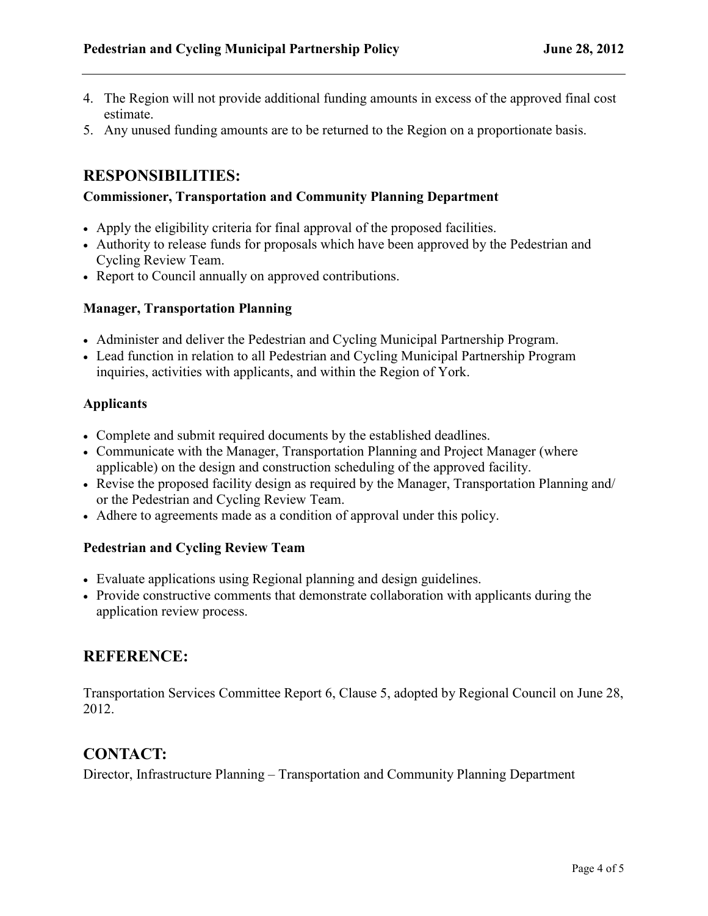- 4. The Region will not provide additional funding amounts in excess of the approved final cost estimate.
- 5. Any unused funding amounts are to be returned to the Region on a proportionate basis.

# **RESPONSIBILITIES:**

#### **Commissioner, Transportation and Community Planning Department**

- Apply the eligibility criteria for final approval of the proposed facilities.
- Authority to release funds for proposals which have been approved by the Pedestrian and Cycling Review Team.
- Report to Council annually on approved contributions.

#### **Manager, Transportation Planning**

- Administer and deliver the Pedestrian and Cycling Municipal Partnership Program.
- Lead function in relation to all Pedestrian and Cycling Municipal Partnership Program inquiries, activities with applicants, and within the Region of York.

#### **Applicants**

- Complete and submit required documents by the established deadlines.
- Communicate with the Manager, Transportation Planning and Project Manager (where applicable) on the design and construction scheduling of the approved facility.
- Revise the proposed facility design as required by the Manager, Transportation Planning and/ or the Pedestrian and Cycling Review Team.
- Adhere to agreements made as a condition of approval under this policy.

#### **Pedestrian and Cycling Review Team**

- Evaluate applications using Regional planning and design guidelines.
- Provide constructive comments that demonstrate collaboration with applicants during the application review process.

# **REFERENCE:**

Transportation Services Committee Report 6, Clause 5, adopted by Regional Council on June 28, 2012.

### **CONTACT:**

Director, Infrastructure Planning – Transportation and Community Planning Department